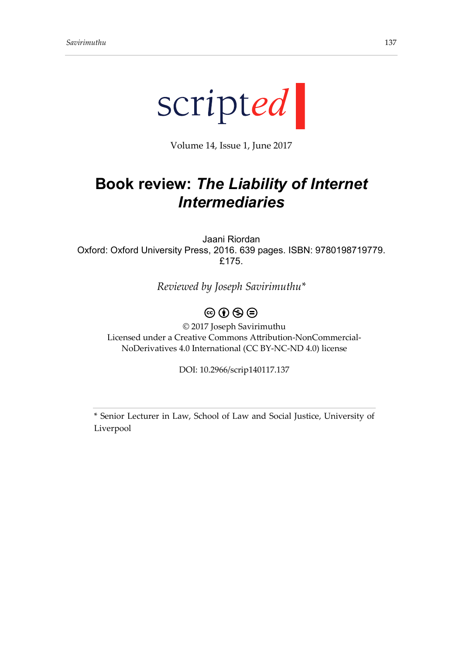

Volume 14, Issue 1, June 2017

## **Book review:** *The Liability of Internet Intermediaries*

Jaani Riordan Oxford: Oxford University Press, 2016. 639 pages. ISBN: 9780198719779. £175.

*Reviewed by Joseph Savirimuthu\**

## $\circledcirc$   $\circledcirc$   $\circledcirc$

© 2017 Joseph Savirimuthu Licensed under a Creative Commons Attribution-NonCommercial-NoDerivatives 4.0 International (CC BY-NC-ND 4.0) license

DOI: 10.2966/scrip140117.137

\* Senior Lecturer in Law, School of Law and Social Justice, University of Liverpool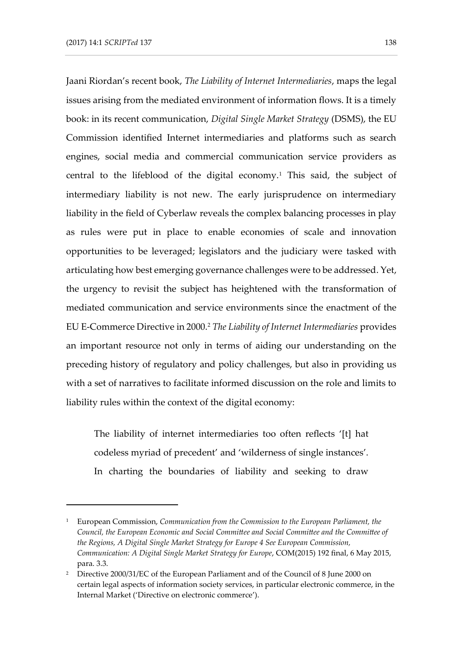-

Jaani Riordan's recent book, *The Liability of Internet Intermediaries*, maps the legal issues arising from the mediated environment of information flows. It is a timely book: in its recent communication, *Digital Single Market Strategy* (DSMS), the EU Commission identified Internet intermediaries and platforms such as search engines, social media and commercial communication service providers as central to the lifeblood of the digital economy.<sup>1</sup> This said, the subject of intermediary liability is not new. The early jurisprudence on intermediary liability in the field of Cyberlaw reveals the complex balancing processes in play as rules were put in place to enable economies of scale and innovation opportunities to be leveraged; legislators and the judiciary were tasked with articulating how best emerging governance challenges were to be addressed. Yet, the urgency to revisit the subject has heightened with the transformation of mediated communication and service environments since the enactment of the EU E-Commerce Directive in 2000.<sup>2</sup> *The Liability of Internet Intermediaries* provides an important resource not only in terms of aiding our understanding on the preceding history of regulatory and policy challenges, but also in providing us with a set of narratives to facilitate informed discussion on the role and limits to liability rules within the context of the digital economy:

The liability of internet intermediaries too often reflects '[t] hat codeless myriad of precedent' and 'wilderness of single instances'. In charting the boundaries of liability and seeking to draw

<sup>1</sup> European Commission, *Communication from the Commission to the European Parliament, the Council, the European Economic and Social Committee and Social Committee and the Committee of the Regions, A Digital Single Market Strategy for Europe 4 See European Commission, Communication: A Digital Single Market Strategy for Europe*, COM(2015) 192 final, 6 May 2015, para. 3.3.

<sup>&</sup>lt;sup>2</sup> Directive 2000/31/EC of the European Parliament and of the Council of 8 June 2000 on certain legal aspects of information society services, in particular electronic commerce, in the Internal Market ('Directive on electronic commerce').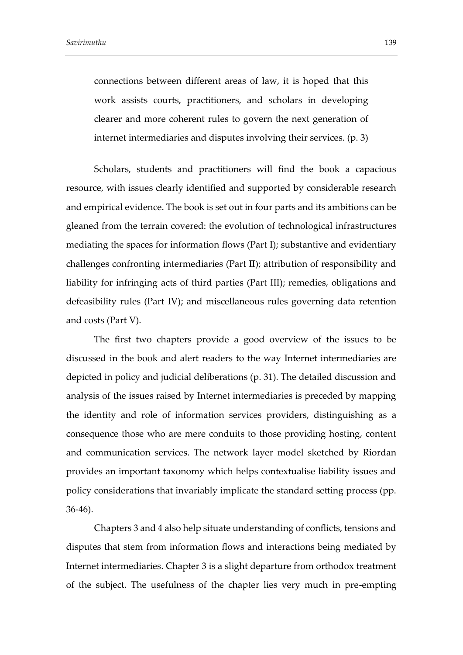connections between different areas of law, it is hoped that this work assists courts, practitioners, and scholars in developing clearer and more coherent rules to govern the next generation of internet intermediaries and disputes involving their services. (p. 3)

Scholars, students and practitioners will find the book a capacious resource, with issues clearly identified and supported by considerable research and empirical evidence. The book is set out in four parts and its ambitions can be gleaned from the terrain covered: the evolution of technological infrastructures mediating the spaces for information flows (Part I); substantive and evidentiary challenges confronting intermediaries (Part II); attribution of responsibility and liability for infringing acts of third parties (Part III); remedies, obligations and defeasibility rules (Part IV); and miscellaneous rules governing data retention and costs (Part V).

The first two chapters provide a good overview of the issues to be discussed in the book and alert readers to the way Internet intermediaries are depicted in policy and judicial deliberations (p. 31). The detailed discussion and analysis of the issues raised by Internet intermediaries is preceded by mapping the identity and role of information services providers, distinguishing as a consequence those who are mere conduits to those providing hosting, content and communication services. The network layer model sketched by Riordan provides an important taxonomy which helps contextualise liability issues and policy considerations that invariably implicate the standard setting process (pp. 36-46).

Chapters 3 and 4 also help situate understanding of conflicts, tensions and disputes that stem from information flows and interactions being mediated by Internet intermediaries. Chapter 3 is a slight departure from orthodox treatment of the subject. The usefulness of the chapter lies very much in pre-empting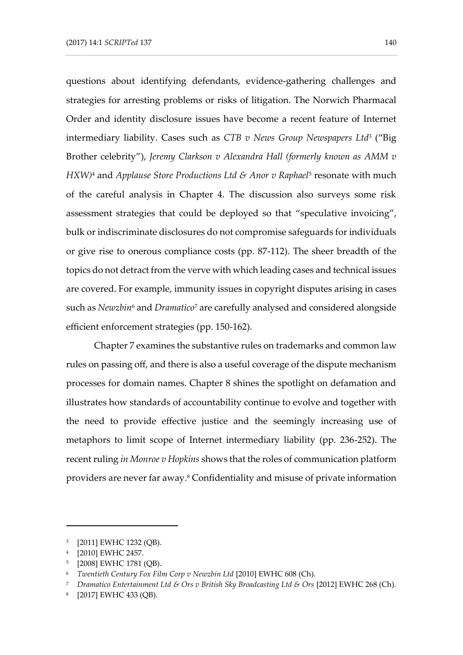questions about identifying defendants, evidence-gathering challenges and strategies for arresting problems or risks of litigation. The Norwich Pharmacal Order and identity disclosure issues have become a recent feature of Internet intermediary liability. Cases such as *CTB v News Group Newspapers Ltd*<sup>3</sup> ("Big Brother celebrity"), *Jeremy Clarkson v Alexandra Hall (formerly known as AMM v HXW*)<sup>4</sup> and *Applause Store Productions Ltd & Anor v Raphael<sup>5</sup> resonate with much* of the careful analysis in Chapter 4. The discussion also surveys some risk assessment strategies that could be deployed so that "speculative invoicing", bulk or indiscriminate disclosures do not compromise safeguards for individuals or give rise to onerous compliance costs (pp. 87-112). The sheer breadth of the topics do not detract from the verve with which leading cases and technical issues are covered. For example, immunity issues in copyright disputes arising in cases such as *Newzbin*<sup>6</sup> and *Dramatico*<sup>7</sup> are carefully analysed and considered alongside efficient enforcement strategies (pp. 150-162).

Chapter 7 examines the substantive rules on trademarks and common law rules on passing off, and there is also a useful coverage of the dispute mechanism processes for domain names. Chapter 8 shines the spotlight on defamation and illustrates how standards of accountability continue to evolve and together with the need to provide effective justice and the seemingly increasing use of metaphors to limit scope of Internet intermediary liability (pp. 236-252). The recent ruling *in Monroe v Hopkins* shows that the roles of communication platform providers are never far away.<sup>8</sup> Confidentiality and misuse of private information

-

<sup>3</sup> [2011] EWHC 1232 (QB).

<sup>4</sup> [2010] EWHC 2457.

<sup>5</sup> [2008] EWHC 1781 (QB).

<sup>6</sup> *Twentieth Century Fox Film Corp v Newzbin Ltd* [2010] EWHC 608 (Ch).

<sup>7</sup> *Dramatico Entertainment Ltd & Ors v British Sky Broadcasting Ltd & Ors* [2012] EWHC 268 (Ch).

<sup>8</sup> [2017] EWHC 433 (QB).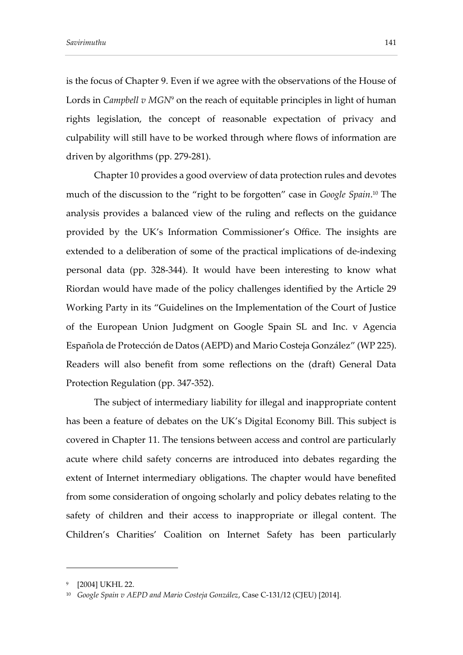is the focus of Chapter 9. Even if we agree with the observations of the House of Lords in *Campbell v MGN*<sup>9</sup> on the reach of equitable principles in light of human rights legislation, the concept of reasonable expectation of privacy and culpability will still have to be worked through where flows of information are driven by algorithms (pp. 279-281).

Chapter 10 provides a good overview of data protection rules and devotes much of the discussion to the "right to be forgotten" case in *Google Spain*. <sup>10</sup> The analysis provides a balanced view of the ruling and reflects on the guidance provided by the UK's Information Commissioner's Office. The insights are extended to a deliberation of some of the practical implications of de-indexing personal data (pp. 328-344). It would have been interesting to know what Riordan would have made of the policy challenges identified by the Article 29 Working Party in its "Guidelines on the Implementation of the Court of Justice of the European Union Judgment on Google Spain SL and Inc. v Agencia Española de Protección de Datos (AEPD) and Mario Costeja González" (WP 225). Readers will also benefit from some reflections on the (draft) General Data Protection Regulation (pp. 347-352).

The subject of intermediary liability for illegal and inappropriate content has been a feature of debates on the UK's Digital Economy Bill. This subject is covered in Chapter 11. The tensions between access and control are particularly acute where child safety concerns are introduced into debates regarding the extent of Internet intermediary obligations. The chapter would have benefited from some consideration of ongoing scholarly and policy debates relating to the safety of children and their access to inappropriate or illegal content. The Children's Charities' Coalition on Internet Safety has been particularly

-

<sup>9</sup> [2004] UKHL 22.

<sup>10</sup> *Google Spain v AEPD and Mario Costeja González*, Case C-131/12 (CJEU) [2014].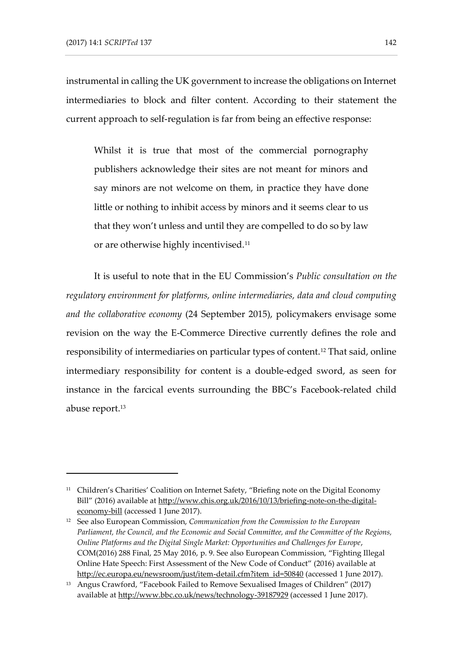-

instrumental in calling the UK government to increase the obligations on Internet intermediaries to block and filter content. According to their statement the current approach to self-regulation is far from being an effective response:

Whilst it is true that most of the commercial pornography publishers acknowledge their sites are not meant for minors and say minors are not welcome on them, in practice they have done little or nothing to inhibit access by minors and it seems clear to us that they won't unless and until they are compelled to do so by law or are otherwise highly incentivised.<sup>11</sup>

It is useful to note that in the EU Commission's *Public consultation on the regulatory environment for platforms, online intermediaries, data and cloud computing and the collaborative economy* (24 September 2015), policymakers envisage some revision on the way the E-Commerce Directive currently defines the role and responsibility of intermediaries on particular types of content.<sup>12</sup> That said, online intermediary responsibility for content is a double-edged sword, as seen for instance in the farcical events surrounding the BBC's Facebook-related child abuse report. 13

<sup>&</sup>lt;sup>11</sup> Children's Charities' Coalition on Internet Safety, "Briefing note on the Digital Economy Bill" (2016) available a[t http://www.chis.org.uk/2016/10/13/briefing-note-on-the-digital](http://www.chis.org.uk/2016/10/13/briefing-note-on-the-digital-economy-bill)[economy-bill](http://www.chis.org.uk/2016/10/13/briefing-note-on-the-digital-economy-bill) (accessed 1 June 2017).

<sup>12</sup> See also European Commission, *Communication from the Commission to the European Parliament, the Council, and the Economic and Social Committee, and the Committee of the Regions, Online Platforms and the Digital Single Market: Opportunities and Challenges for Europe*, COM(2016) 288 Final, 25 May 2016, p. 9. See also European Commission, "Fighting Illegal Online Hate Speech: First Assessment of the New Code of Conduct" (2016) available at [http://ec.europa.eu/newsroom/just/item-detail.cfm?item\\_id=50840](http://ec.europa.eu/newsroom/just/item-detail.cfm?item_id=50840) (accessed 1 June 2017).

<sup>&</sup>lt;sup>13</sup> Angus Crawford, "Facebook Failed to Remove Sexualised Images of Children" (2017) available at<http://www.bbc.co.uk/news/technology-39187929> (accessed 1 June 2017).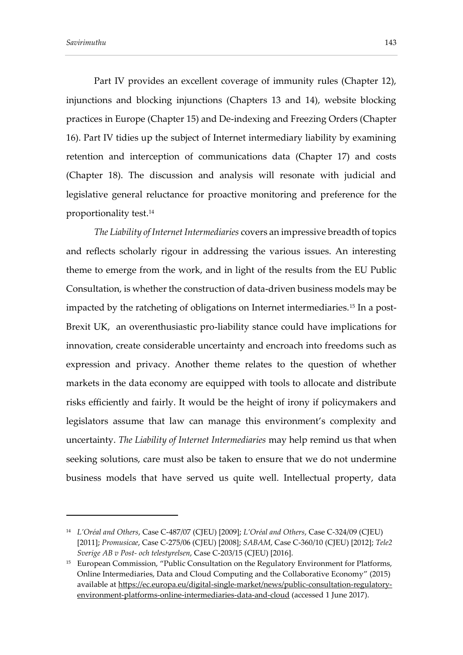-

Part IV provides an excellent coverage of immunity rules (Chapter 12), injunctions and blocking injunctions (Chapters 13 and 14), website blocking practices in Europe (Chapter 15) and De-indexing and Freezing Orders (Chapter 16). Part IV tidies up the subject of Internet intermediary liability by examining retention and interception of communications data (Chapter 17) and costs (Chapter 18). The discussion and analysis will resonate with judicial and legislative general reluctance for proactive monitoring and preference for the proportionality test.<sup>14</sup>

*The Liability of Internet Intermediaries* covers an impressive breadth of topics and reflects scholarly rigour in addressing the various issues. An interesting theme to emerge from the work, and in light of the results from the EU Public Consultation, is whether the construction of data-driven business models may be impacted by the ratcheting of obligations on Internet intermediaries.<sup>15</sup> In a post-Brexit UK, an overenthusiastic pro-liability stance could have implications for innovation, create considerable uncertainty and encroach into freedoms such as expression and privacy. Another theme relates to the question of whether markets in the data economy are equipped with tools to allocate and distribute risks efficiently and fairly. It would be the height of irony if policymakers and legislators assume that law can manage this environment's complexity and uncertainty. *The Liability of Internet Intermediaries* may help remind us that when seeking solutions, care must also be taken to ensure that we do not undermine business models that have served us quite well. Intellectual property, data

<sup>14</sup> *L'Oréal and Others*, Case C-487/07 (CJEU) [2009]; *L'Oréal and Others*, Case C-324/09 (CJEU) [2011]; *Promusicae*, Case C-275/06 (CJEU) [2008]; *SABAM*, Case C-360/10 (CJEU) [2012]; *Tele2 Sverige AB v Post- och telestyrelsen*, Case C-203/15 (CJEU) [2016].

<sup>&</sup>lt;sup>15</sup> European Commission, "Public Consultation on the Regulatory Environment for Platforms, Online Intermediaries, Data and Cloud Computing and the Collaborative Economy" (2015) available at [https://ec.europa.eu/digital-single-market/news/public-consultation-regulatory](https://ec.europa.eu/digital-single-market/news/public-consultation-regulatory-environment-platforms-online-intermediaries-data-and-cloud)[environment-platforms-online-intermediaries-data-and-cloud](https://ec.europa.eu/digital-single-market/news/public-consultation-regulatory-environment-platforms-online-intermediaries-data-and-cloud) (accessed 1 June 2017).